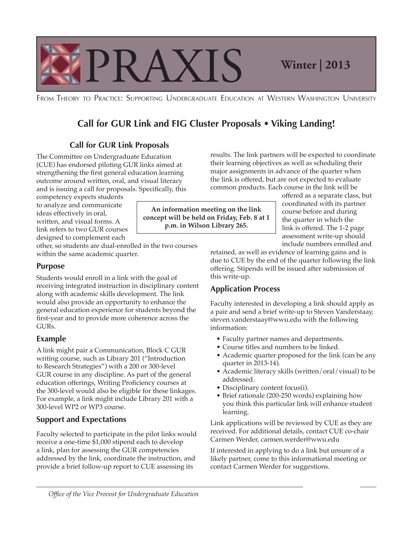

FROM THEORY TO PRACTICE: SUPPORTING UNDERGRADUATE EDUCATION AT WESTERN WASHINGTON UNIVERSITY

# **Call for GUR Link and FIG Cluster Proposals • Viking Landing!**

# **Call for GUR Link Proposals**

The Committee on Undergraduate Education (CUE) has endorsed piloting GUR links aimed at strengthening the first general education learning outcome around written, oral, and visual literacy and is issuing a call for proposals. Specifically, this

competency expects students to analyze and communicate ideas effectively in oral, written, and visual forms. A designed to complement each

other, so students are dual-enrolled in the two courses within the same academic quarter.

### **Purpose**

Students would enroll in a link with the goal of receiving integrated instruction in disciplinary content along with academic skills development. The link would also provide an opportunity to enhance the general education experience for students beyond the first-year and to provide more coherence across the GURs.

### **Example**

A link might pair a Communication, Block C GUR writing course, such as Library 201 ("Introduction to Research Strategies") with a 200 or 300-level GUR course in any discipline. As part of the general education offerings, Writing Proficiency courses at the 300-level would also be eligible for these linkages. For example, a link might include Library 201 with a 300-level WP2 or WP3 course.

# **Support and Expectations**

Faculty selected to participate in the pilot links would receive a one-time \$1,000 stipend each to develop a link, plan for assessing the GUR competencies addressed by the link, coordinate the instruction, and provide a brief follow-up report to CUE assessing its

results. The link partners will be expected to coordinate their learning objectives as well as scheduling their major assignments in advance of the quarter when the link is offered, but are not expected to evaluate common products. Each course in the link will be

course before and during the quarter in which the offered as a separate class, but coordinated with its partner assessment write-up should include numbers enrolled and

retained, as well as evidence of learning gains and is due to CUE by the end of the quarter following the link offering. Stipends will be issued after submission of this write-up.

# **Application Process**

Faculty interested in developing a link should apply as a pair and send a brief write-up to Steven Vanderstaay, [steven.vanderstaay@wwu.edu](mailto:steven.vanderstaay@wwu.edu) with the following information:

- Faculty partner names and departments.
- Course titles and numbers to be linked.
- Academic quarter proposed for the link (can be any quarter in 2013-14).
- Academic literacy skills (written/oral/visual) to be addressed.
- Disciplinary content focus(i).
- Brief rationale (200-250 words) explaining how you think this particular link will enhance student learning.

Link applications will be reviewed by CUE as they are received. For additional details, contact CUE co-chair Carmen Werder, [carmen.werder@wwu.edu](mailto:carmen.werder@wwu.edu)

If interested in applying to do a link but unsure of a likely partner, come to this informational meeting or contact Carmen Werder for suggestions.  $~$   $~$ 

**An information meeting on the link concept will be held on Friday, Feb. 8 at 1 p.m. in Wilson Library 265.**  link refers to two GUR courses  $\begin{vmatrix} p.m. \text{ in Wilson Library 265.} \\ \text{link is offered. The 1-2 page} \end{vmatrix}$ 

*Office of the Vice Provost for Undergraduate Education*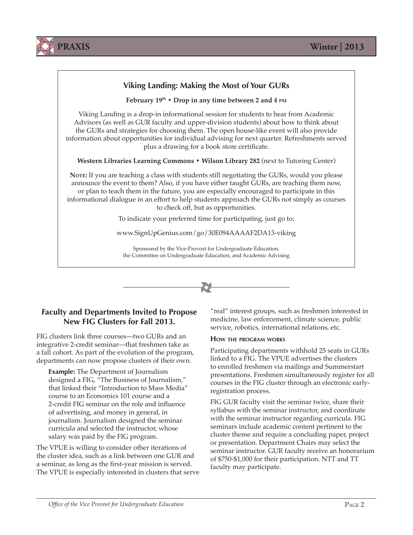



# **Faculty and Departments Invited to Propose New FIG Clusters for Fall 2013.**

FIG clusters link three courses—two GURs and an integrative 2-credit seminar—that freshmen take as a fall cohort. As part of the evolution of the program, departments can now propose clusters of their own.

**Example:** The Department of Journalism designed a FIG, "The Business of Journalism," that linked their "Introduction to Mass Media" course to an Economics 101 course and a 2-credit FIG seminar on the role and influence of advertising, and money in general, in journalism. Journalism designed the seminar curricula and selected the instructor, whose salary was paid by the FIG program.

The VPUE is willing to consider other iterations of the cluster idea, such as a link between one GUR and a seminar, as long as the first-year mission is served. The VPUE is especially interested in clusters that serve "real" interest groups, such as freshmen interested in medicine, law enforcement, climate science, public service, robotics, international relations, etc.

#### **HOW THE PROGRAM WORKS**

Participating departments withhold 25 seats in GURs linked to a FIG. The VPUE advertises the clusters to enrolled freshmen via mailings and Summerstart presentations. Freshmen simultaneously register for all courses in the FIG cluster through an electronic earlyregistration process.

FIG GUR faculty visit the seminar twice, share their syllabus with the seminar instructor, and coordinate with the seminar instructor regarding curricula. FIG seminars include academic content pertinent to the cluster theme and require a concluding paper, project or presentation. Department Chairs may select the seminar instructor. GUR faculty receive an honorarium of \$750-\$1,000 for their participation. NTT and TT faculty may participate.